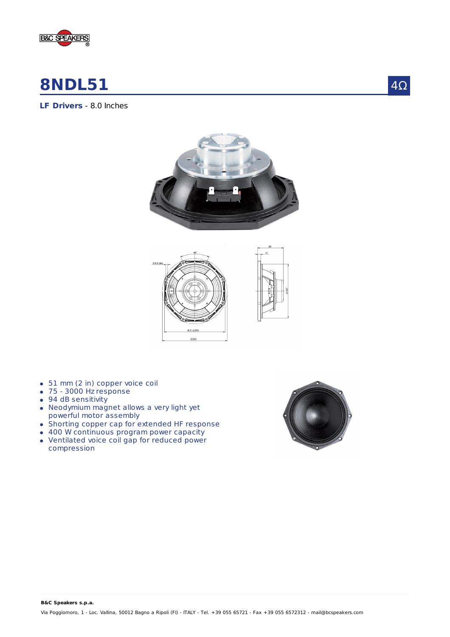

# **8NDL51**

4Ω







- 51 mm (2 in) copper voice coil
- 75 3000 Hz response
- 94 dB sensitivity
- Neodymium magnet allows a very light yet powerful motor assembly
- Shorting copper cap for extended HF response
- 400 W continuous program power capacity
- Ventilated voice coil gap for reduced power compression

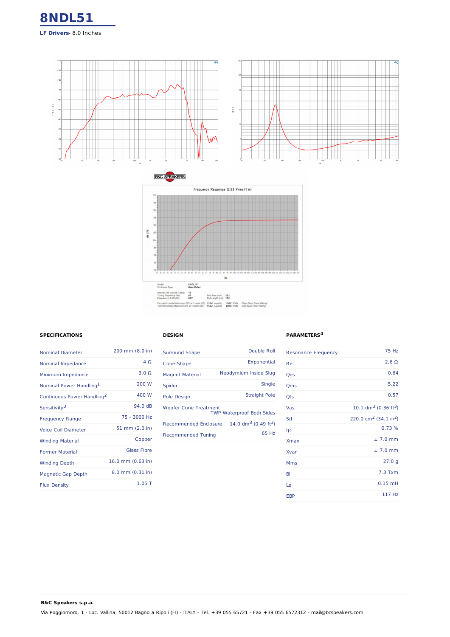





### **SPECIFICATIONS**

**B&C Speakers s.p.a.**

| <b>Nominal Diameter</b>                | 200 mm (8.0 in)     |
|----------------------------------------|---------------------|
| Nominal Impedance                      | $4\Omega$           |
| Minimum Impedance                      | $3.0\Omega$         |
| Nominal Power Handling <sup>1</sup>    | 200 W               |
| Continuous Power Handling <sup>2</sup> | 400 W               |
| Sensitivity <sup>3</sup>               | 94 0 dB             |
| <b>Frequency Range</b>                 | 75 - 3000 Hz        |
| Voice Coil Diameter                    | 51 mm (2.0 in)      |
| <b>Winding Material</b>                | Copper              |
| <b>Former Material</b>                 | <b>Glass Fibre</b>  |
| <b>Winding Depth</b>                   | 16.0 mm $(0.63$ in) |
| Magnetic Gap Depth                     | 8.0 mm (0.31 in)    |
| <b>Flux Density</b>                    | $1.05$ T            |

## **DESIGN**

| Cone Shape<br><b>Magnet Material</b><br>Spider<br>Pole Design<br><b>Woofer Cone Treatment</b><br><b>TWP Waterproof Both Sides</b><br>Recommended Enclosure<br><b>Recommended Tuning</b> | <b>Surround Shape</b> | Double Roll                         |
|-----------------------------------------------------------------------------------------------------------------------------------------------------------------------------------------|-----------------------|-------------------------------------|
|                                                                                                                                                                                         |                       | Exponential                         |
|                                                                                                                                                                                         |                       | Neodymium Inside Slug               |
|                                                                                                                                                                                         |                       | <b>Single</b>                       |
|                                                                                                                                                                                         |                       | <b>Straight Pole</b>                |
|                                                                                                                                                                                         |                       |                                     |
|                                                                                                                                                                                         |                       | 14.0 $dm^3$ (0.49 ft <sup>3</sup> ) |
|                                                                                                                                                                                         |                       | 65 Hz                               |

#### **PARAMETERS 4**

| <b>Resonance Frequency</b> | <b>75 Hz</b>                                  |
|----------------------------|-----------------------------------------------|
| Re                         | $2.6 \Omega$                                  |
| Qes                        | 0.64                                          |
| Qms                        | 5.22                                          |
| Qts                        | 0.57                                          |
| Vas                        | 10.1 $dm^3$ (0.36 ft <sup>3</sup> )           |
| Sd                         | 220.0 cm <sup>2</sup> (34.1 in <sup>2</sup> ) |
| ηo                         | 0.73%                                         |
| <b>Xmax</b>                | $±7.0$ mm                                     |
| Xvar                       | $± 7.0$ mm                                    |
| <b>Mms</b>                 | 27.0 g                                        |
| BI                         | $7.3$ Txm                                     |
| Le                         | $0.15$ mH                                     |
| <b>EBP</b>                 | 117 Hz                                        |